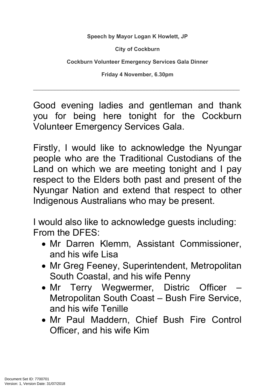**Speech by Mayor Logan K Howlett, JP**

**City of Cockburn**

**Cockburn Volunteer Emergency Services Gala Dinner**

**Friday 4 November, 6.30pm**

\_\_\_\_\_\_\_\_\_\_\_\_\_\_\_\_\_\_\_\_\_\_\_\_\_\_\_\_\_\_\_\_\_\_\_\_\_\_\_\_\_\_\_\_\_\_\_\_\_\_\_\_\_\_\_\_\_\_\_\_\_\_\_\_\_\_\_

Good evening ladies and gentleman and thank you for being here tonight for the Cockburn Volunteer Emergency Services Gala.

Firstly, I would like to acknowledge the Nyungar people who are the Traditional Custodians of the Land on which we are meeting tonight and I pay respect to the Elders both past and present of the Nyungar Nation and extend that respect to other Indigenous Australians who may be present.

I would also like to acknowledge guests including: From the DFES:

- Mr Darren Klemm, Assistant Commissioner, and his wife Lisa
- Mr Greg Feeney, Superintendent, Metropolitan South Coastal, and his wife Penny
- Mr Terry Wegwermer, Distric Officer Metropolitan South Coast – Bush Fire Service, and his wife Tenille
- Mr Paul Maddern, Chief Bush Fire Control Officer, and his wife Kim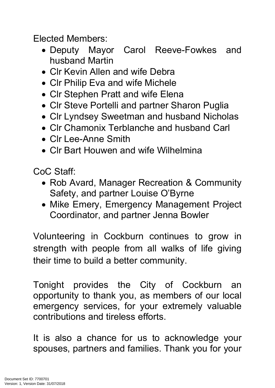Elected Members:

- Deputy Mayor Carol Reeve-Fowkes and husband Martin
- Clr Kevin Allen and wife Debra
- CIr Philip Eva and wife Michele
- CIr Stephen Pratt and wife Elena
- CIr Steve Portelli and partner Sharon Puglia
- Clr Lyndsey Sweetman and husband Nicholas
- Clr Chamonix Terblanche and husband Carl
- Clr Lee-Anne Smith
- CIr Bart Houwen and wife Wilhelmina

CoC Staff:

- Rob Avard, Manager Recreation & Community Safety, and partner Louise O'Byrne
- Mike Emery, Emergency Management Project Coordinator, and partner Jenna Bowler

Volunteering in Cockburn continues to grow in strength with people from all walks of life giving their time to build a better community.

Tonight provides the City of Cockburn an opportunity to thank you, as members of our local emergency services, for your extremely valuable contributions and tireless efforts.

It is also a chance for us to acknowledge your spouses, partners and families. Thank you for your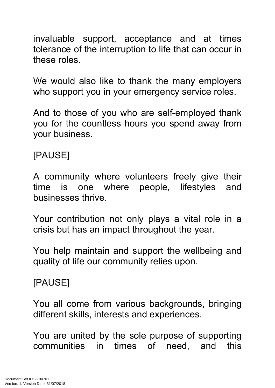invaluable support, acceptance and at times tolerance of the interruption to life that can occur in these roles.

We would also like to thank the many employers who support you in your emergency service roles.

And to those of you who are self-employed thank you for the countless hours you spend away from your business.

## [PAUSE]

A community where volunteers freely give their time is one where people, lifestyles and businesses thrive.

Your contribution not only plays a vital role in a crisis but has an impact throughout the year.

You help maintain and support the wellbeing and quality of life our community relies upon.

## [PAUSE]

You all come from various backgrounds, bringing different skills, interests and experiences.

You are united by the sole purpose of supporting communities in times of need, and this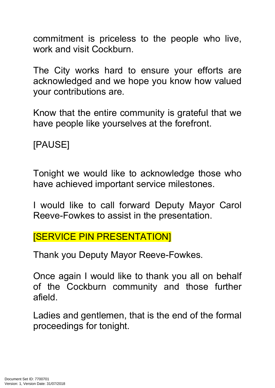commitment is priceless to the people who live, work and visit Cockburn.

The City works hard to ensure your efforts are acknowledged and we hope you know how valued your contributions are.

Know that the entire community is grateful that we have people like yourselves at the forefront.

[PAUSE]

Tonight we would like to acknowledge those who have achieved important service milestones.

I would like to call forward Deputy Mayor Carol Reeve-Fowkes to assist in the presentation.

[SERVICE PIN PRESENTATION]

Thank you Deputy Mayor Reeve-Fowkes.

Once again I would like to thank you all on behalf of the Cockburn community and those further afield.

Ladies and gentlemen, that is the end of the formal proceedings for tonight.